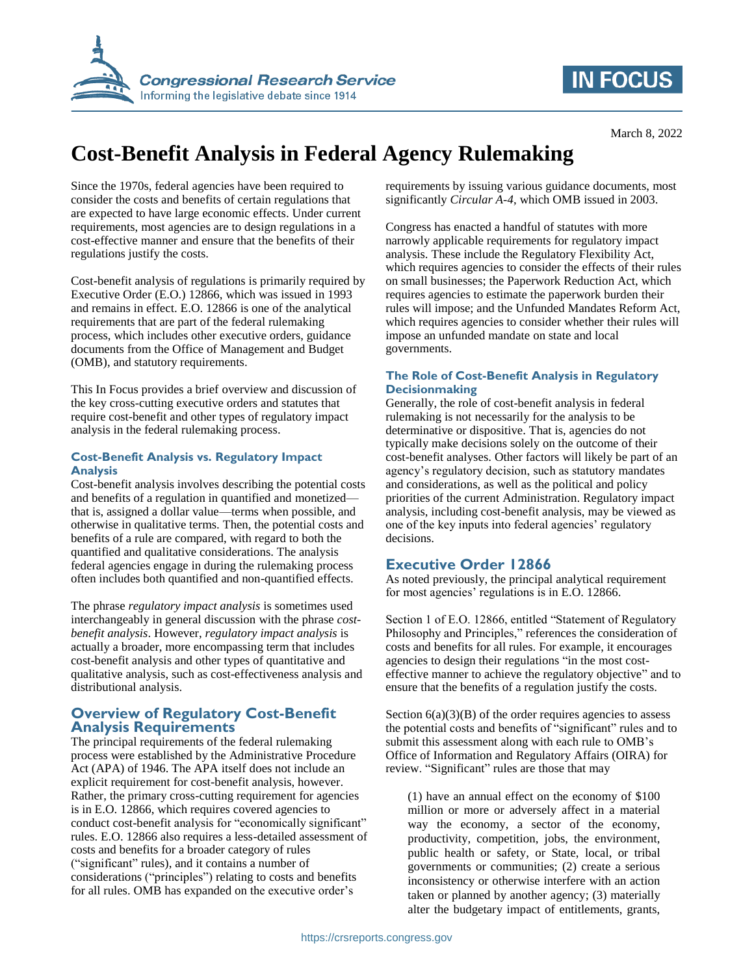

# **IN FOCUS**

# **Cost-Benefit Analysis in Federal Agency Rulemaking**

Since the 1970s, federal agencies have been required to consider the costs and benefits of certain regulations that are expected to have large economic effects. Under current requirements, most agencies are to design regulations in a cost-effective manner and ensure that the benefits of their regulations justify the costs.

Cost-benefit analysis of regulations is primarily required by Executive Order (E.O.) 12866, which was issued in 1993 and remains in effect. E.O. 12866 is one of the analytical requirements that are part of the federal rulemaking process, which includes other executive orders, guidance documents from the Office of Management and Budget (OMB), and statutory requirements.

This In Focus provides a brief overview and discussion of the key cross-cutting executive orders and statutes that require cost-benefit and other types of regulatory impact analysis in the federal rulemaking process.

#### **Cost-Benefit Analysis vs. Regulatory Impact Analysis**

Cost-benefit analysis involves describing the potential costs and benefits of a regulation in quantified and monetized that is, assigned a dollar value—terms when possible, and otherwise in qualitative terms. Then, the potential costs and benefits of a rule are compared, with regard to both the quantified and qualitative considerations. The analysis federal agencies engage in during the rulemaking process often includes both quantified and non-quantified effects.

The phrase *regulatory impact analysis* is sometimes used interchangeably in general discussion with the phrase *costbenefit analysis*. However, *regulatory impact analysis* is actually a broader, more encompassing term that includes cost-benefit analysis and other types of quantitative and qualitative analysis, such as cost-effectiveness analysis and distributional analysis.

# **Overview of Regulatory Cost-Benefit Analysis Requirements**

The principal requirements of the federal rulemaking process were established by the Administrative Procedure Act (APA) of 1946. The APA itself does not include an explicit requirement for cost-benefit analysis, however. Rather, the primary cross-cutting requirement for agencies is in E.O. 12866, which requires covered agencies to conduct cost-benefit analysis for "economically significant" rules. E.O. 12866 also requires a less-detailed assessment of costs and benefits for a broader category of rules ("significant" rules), and it contains a number of considerations ("principles") relating to costs and benefits for all rules. OMB has expanded on the executive order's

requirements by issuing various guidance documents, most significantly *Circular A-4*, which OMB issued in 2003.

Congress has enacted a handful of statutes with more narrowly applicable requirements for regulatory impact analysis. These include the Regulatory Flexibility Act, which requires agencies to consider the effects of their rules on small businesses; the Paperwork Reduction Act, which requires agencies to estimate the paperwork burden their rules will impose; and the Unfunded Mandates Reform Act, which requires agencies to consider whether their rules will impose an unfunded mandate on state and local governments.

### **The Role of Cost-Benefit Analysis in Regulatory Decisionmaking**

Generally, the role of cost-benefit analysis in federal rulemaking is not necessarily for the analysis to be determinative or dispositive. That is, agencies do not typically make decisions solely on the outcome of their cost-benefit analyses. Other factors will likely be part of an agency's regulatory decision, such as statutory mandates and considerations, as well as the political and policy priorities of the current Administration. Regulatory impact analysis, including cost-benefit analysis, may be viewed as one of the key inputs into federal agencies' regulatory decisions.

# **Executive Order 12866**

As noted previously, the principal analytical requirement for most agencies' regulations is in E.O. 12866.

Section 1 of E.O. 12866, entitled "Statement of Regulatory Philosophy and Principles," references the consideration of costs and benefits for all rules. For example, it encourages agencies to design their regulations "in the most costeffective manner to achieve the regulatory objective" and to ensure that the benefits of a regulation justify the costs.

Section  $6(a)(3)(B)$  of the order requires agencies to assess the potential costs and benefits of "significant" rules and to submit this assessment along with each rule to OMB's Office of Information and Regulatory Affairs (OIRA) for review. "Significant" rules are those that may

(1) have an annual effect on the economy of \$100 million or more or adversely affect in a material way the economy, a sector of the economy, productivity, competition, jobs, the environment, public health or safety, or State, local, or tribal governments or communities; (2) create a serious inconsistency or otherwise interfere with an action taken or planned by another agency; (3) materially alter the budgetary impact of entitlements, grants,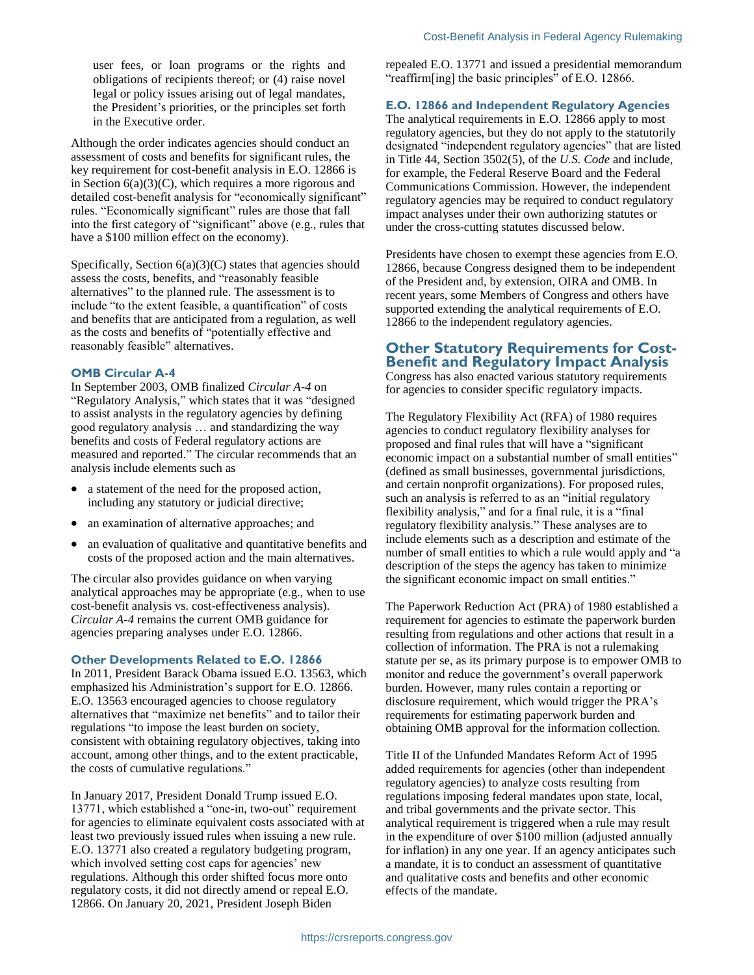user fees, or loan programs or the rights and obligations of recipients thereof; or (4) raise novel legal or policy issues arising out of legal mandates, the President's priorities, or the principles set forth in the Executive order.

Although the order indicates agencies should conduct an assessment of costs and benefits for significant rules, the key requirement for cost-benefit analysis in E.O. 12866 is in Section  $6(a)(3)(C)$ , which requires a more rigorous and detailed cost-benefit analysis for "economically significant" rules. "Economically significant" rules are those that fall into the first category of "significant" above (e.g., rules that have a \$100 million effect on the economy).

Specifically, Section 6(a)(3)(C) states that agencies should assess the costs, benefits, and "reasonably feasible alternatives" to the planned rule. The assessment is to include "to the extent feasible, a quantification" of costs and benefits that are anticipated from a regulation, as well as the costs and benefits of "potentially effective and reasonably feasible" alternatives.

#### **OMB Circular A-4**

In September 2003, OMB finalized *Circular A-4* on "Regulatory Analysis," which states that it was "designed to assist analysts in the regulatory agencies by defining good regulatory analysis … and standardizing the way benefits and costs of Federal regulatory actions are measured and reported." The circular recommends that an analysis include elements such as

- a statement of the need for the proposed action, including any statutory or judicial directive;
- an examination of alternative approaches; and
- an evaluation of qualitative and quantitative benefits and costs of the proposed action and the main alternatives.

The circular also provides guidance on when varying analytical approaches may be appropriate (e.g., when to use cost-benefit analysis vs. cost-effectiveness analysis). *Circular A-4* remains the current OMB guidance for agencies preparing analyses under E.O. 12866.

#### **Other Developments Related to E.O. 12866**

In 2011, President Barack Obama issued E.O. 13563, which emphasized his Administration's support for E.O. 12866. E.O. 13563 encouraged agencies to choose regulatory alternatives that "maximize net benefits" and to tailor their regulations "to impose the least burden on society, consistent with obtaining regulatory objectives, taking into account, among other things, and to the extent practicable, the costs of cumulative regulations."

In January 2017, President Donald Trump issued E.O. 13771, which established a "one-in, two-out" requirement for agencies to eliminate equivalent costs associated with at least two previously issued rules when issuing a new rule. E.O. 13771 also created a regulatory budgeting program, which involved setting cost caps for agencies' new regulations. Although this order shifted focus more onto regulatory costs, it did not directly amend or repeal E.O. 12866. On January 20, 2021, President Joseph Biden

repealed E.O. 13771 and issued a presidential memorandum "reaffirm[ing] the basic principles" of E.O. 12866.

## **E.O. 12866 and Independent Regulatory Agencies**

The analytical requirements in E.O. 12866 apply to most regulatory agencies, but they do not apply to the statutorily designated "independent regulatory agencies" that are listed in Title 44, Section 3502(5), of the *U.S. Code* and include, for example, the Federal Reserve Board and the Federal Communications Commission. However, the independent regulatory agencies may be required to conduct regulatory impact analyses under their own authorizing statutes or under the cross-cutting statutes discussed below.

Presidents have chosen to exempt these agencies from E.O. 12866, because Congress designed them to be independent of the President and, by extension, OIRA and OMB. In recent years, some Members of Congress and others have supported extending the analytical requirements of E.O. 12866 to the independent regulatory agencies.

## **Other Statutory Requirements for Cost-Benefit and Regulatory Impact Analysis**

Congress has also enacted various statutory requirements for agencies to consider specific regulatory impacts.

The Regulatory Flexibility Act (RFA) of 1980 requires agencies to conduct regulatory flexibility analyses for proposed and final rules that will have a "significant economic impact on a substantial number of small entities" (defined as small businesses, governmental jurisdictions, and certain nonprofit organizations). For proposed rules, such an analysis is referred to as an "initial regulatory flexibility analysis," and for a final rule, it is a "final regulatory flexibility analysis." These analyses are to include elements such as a description and estimate of the number of small entities to which a rule would apply and "a description of the steps the agency has taken to minimize the significant economic impact on small entities."

The Paperwork Reduction Act (PRA) of 1980 established a requirement for agencies to estimate the paperwork burden resulting from regulations and other actions that result in a collection of information. The PRA is not a rulemaking statute per se, as its primary purpose is to empower OMB to monitor and reduce the government's overall paperwork burden. However, many rules contain a reporting or disclosure requirement, which would trigger the PRA's requirements for estimating paperwork burden and obtaining OMB approval for the information collection.

Title II of the Unfunded Mandates Reform Act of 1995 added requirements for agencies (other than independent regulatory agencies) to analyze costs resulting from regulations imposing federal mandates upon state, local, and tribal governments and the private sector. This analytical requirement is triggered when a rule may result in the expenditure of over \$100 million (adjusted annually for inflation) in any one year. If an agency anticipates such a mandate, it is to conduct an assessment of quantitative and qualitative costs and benefits and other economic effects of the mandate.